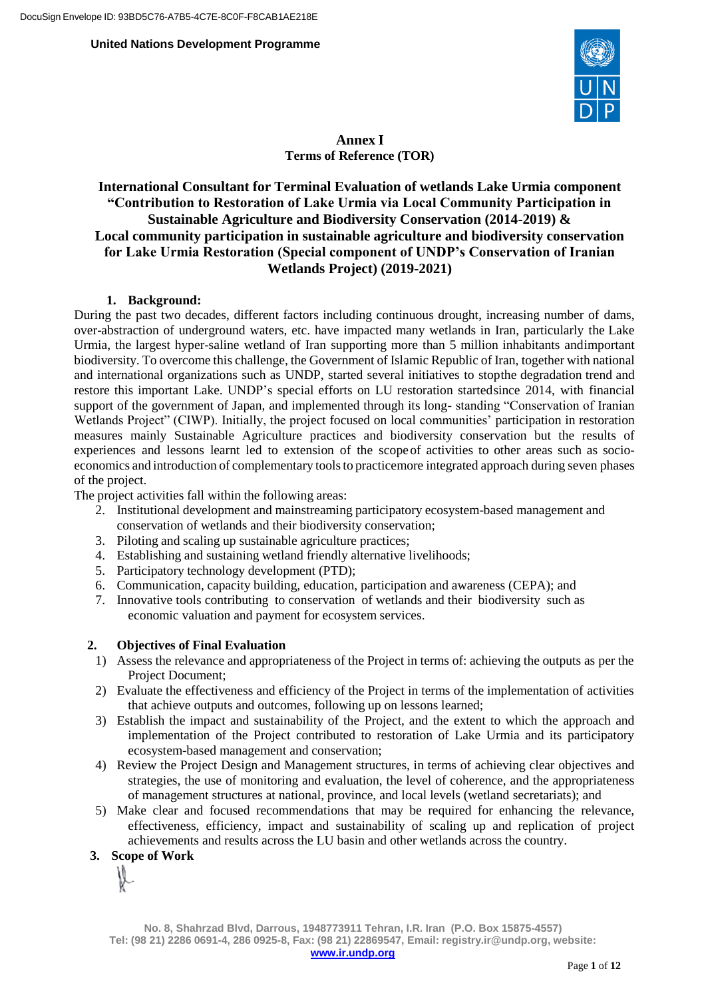

**Annex I Terms of Reference (TOR)**

# **International Consultant for Terminal Evaluation of wetlands Lake Urmia component "Contribution to Restoration of Lake Urmia via Local Community Participation in Sustainable Agriculture and Biodiversity Conservation (2014-2019) & Local community participation in sustainable agriculture and biodiversity conservation for Lake Urmia Restoration (Special component of UNDP's Conservation of Iranian Wetlands Project) (2019-2021)**

#### **1. Background:**

During the past two decades, different factors including continuous drought, increasing number of dams, over-abstraction of underground waters, etc. have impacted many wetlands in Iran, particularly the Lake Urmia, the largest hyper-saline wetland of Iran supporting more than 5 million inhabitants andimportant biodiversity. To overcome this challenge, the Government of Islamic Republic of Iran, together with national and international organizations such as UNDP, started several initiatives to stopthe degradation trend and restore this important Lake. UNDP's special efforts on LU restoration startedsince 2014, with financial support of the government of Japan, and implemented through its long- standing "Conservation of Iranian Wetlands Project" (CIWP). Initially, the project focused on local communities' participation in restoration measures mainly Sustainable Agriculture practices and biodiversity conservation but the results of experiences and lessons learnt led to extension of the scopeof activities to other areas such as socioeconomics and introduction of complementary toolsto practicemore integrated approach during seven phases of the project.

The project activities fall within the following areas:

- 2. Institutional development and mainstreaming participatory ecosystem-based management and conservation of wetlands and their biodiversity conservation;
- 3. Piloting and scaling up sustainable agriculture practices;
- 4. Establishing and sustaining wetland friendly alternative livelihoods;
- 5. Participatory technology development (PTD);
- 6. Communication, capacity building, education, participation and awareness (CEPA); and
- 7. Innovative tools contributing to conservation of wetlands and their biodiversity such as economic valuation and payment for ecosystem services.

#### **2. Objectives of Final Evaluation**

- 1) Assess the relevance and appropriateness of the Project in terms of: achieving the outputs as per the Project Document;
- 2) Evaluate the effectiveness and efficiency of the Project in terms of the implementation of activities that achieve outputs and outcomes, following up on lessons learned;
- 3) Establish the impact and sustainability of the Project, and the extent to which the approach and implementation of the Project contributed to restoration of Lake Urmia and its participatory ecosystem-based management and conservation;
- 4) Review the Project Design and Management structures, in terms of achieving clear objectives and strategies, the use of monitoring and evaluation, the level of coherence, and the appropriateness of management structures at national, province, and local levels (wetland secretariats); and
- 5) Make clear and focused recommendations that may be required for enhancing the relevance, effectiveness, efficiency, impact and sustainability of scaling up and replication of project achievements and results across the LU basin and other wetlands across the country.

## **3. Scope of Work**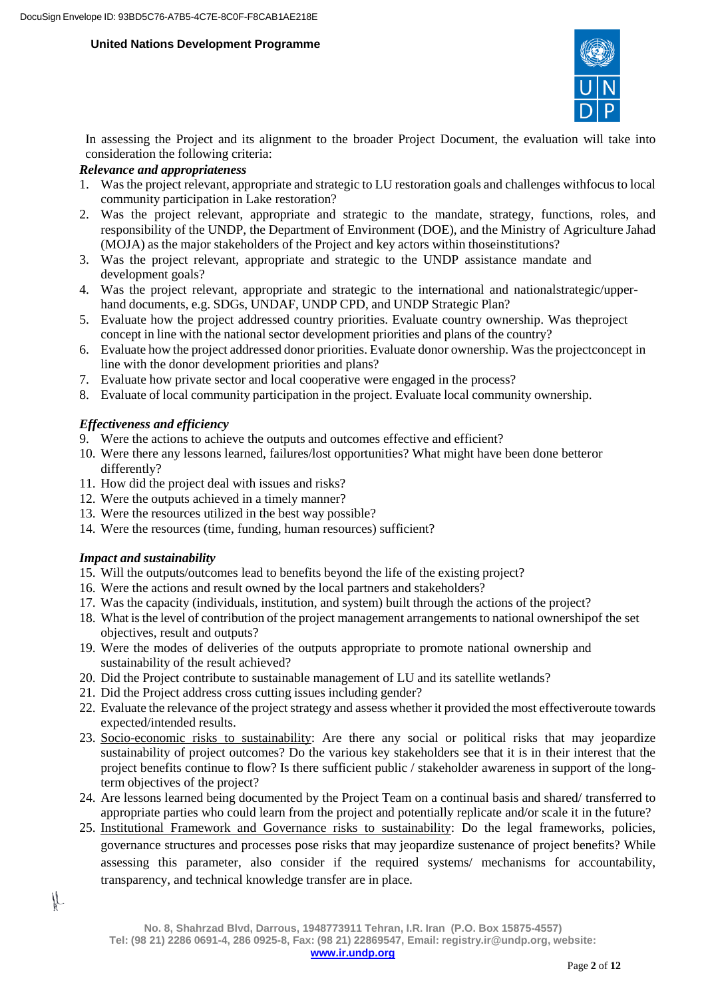

In assessing the Project and its alignment to the broader Project Document, the evaluation will take into consideration the following criteria:

# *Relevance and appropriateness*

- 1. Was the project relevant, appropriate and strategic to LU restoration goals and challenges withfocus to local community participation in Lake restoration?
- 2. Was the project relevant, appropriate and strategic to the mandate, strategy, functions, roles, and responsibility of the UNDP, the Department of Environment (DOE), and the Ministry of Agriculture Jahad (MOJA) as the major stakeholders of the Project and key actors within thoseinstitutions?
- 3. Was the project relevant, appropriate and strategic to the UNDP assistance mandate and development goals?
- 4. Was the project relevant, appropriate and strategic to the international and nationalstrategic/upperhand documents, e.g. SDGs, UNDAF, UNDP CPD, and UNDP Strategic Plan?
- 5. Evaluate how the project addressed country priorities. Evaluate country ownership. Was theproject concept in line with the national sector development priorities and plans of the country?
- 6. Evaluate how the project addressed donor priorities. Evaluate donor ownership. Was the projectconcept in line with the donor development priorities and plans?
- 7. Evaluate how private sector and local cooperative were engaged in the process?
- 8. Evaluate of local community participation in the project. Evaluate local community ownership.

# *Effectiveness and efficiency*

- 9. Were the actions to achieve the outputs and outcomes effective and efficient?
- 10. Were there any lessons learned, failures/lost opportunities? What might have been done betteror differently?
- 11. How did the project deal with issues and risks?
- 12. Were the outputs achieved in a timely manner?
- 13. Were the resources utilized in the best way possible?
- 14. Were the resources (time, funding, human resources) sufficient?

## *Impact and sustainability*

IL

- 15. Will the outputs/outcomes lead to benefits beyond the life of the existing project?
- 16. Were the actions and result owned by the local partners and stakeholders?
- 17. Was the capacity (individuals, institution, and system) built through the actions of the project?
- 18. What isthe level of contribution of the project management arrangements to national ownershipof the set objectives, result and outputs?
- 19. Were the modes of deliveries of the outputs appropriate to promote national ownership and sustainability of the result achieved?
- 20. Did the Project contribute to sustainable management of LU and its satellite wetlands?
- 21. Did the Project address cross cutting issues including gender?
- 22. Evaluate the relevance of the project strategy and assess whether it provided the most effectiveroute towards expected/intended results.
- 23. Socio-economic risks to sustainability: Are there any social or political risks that may jeopardize sustainability of project outcomes? Do the various key stakeholders see that it is in their interest that the project benefits continue to flow? Is there sufficient public / stakeholder awareness in support of the longterm objectives of the project?
- 24. Are lessons learned being documented by the Project Team on a continual basis and shared/ transferred to appropriate parties who could learn from the project and potentially replicate and/or scale it in the future?
- 25. Institutional Framework and Governance risks to sustainability: Do the legal frameworks, policies, governance structures and processes pose risks that may jeopardize sustenance of project benefits? While assessing this parameter, also consider if the required systems/ mechanisms for accountability, transparency, and technical knowledge transfer are in place.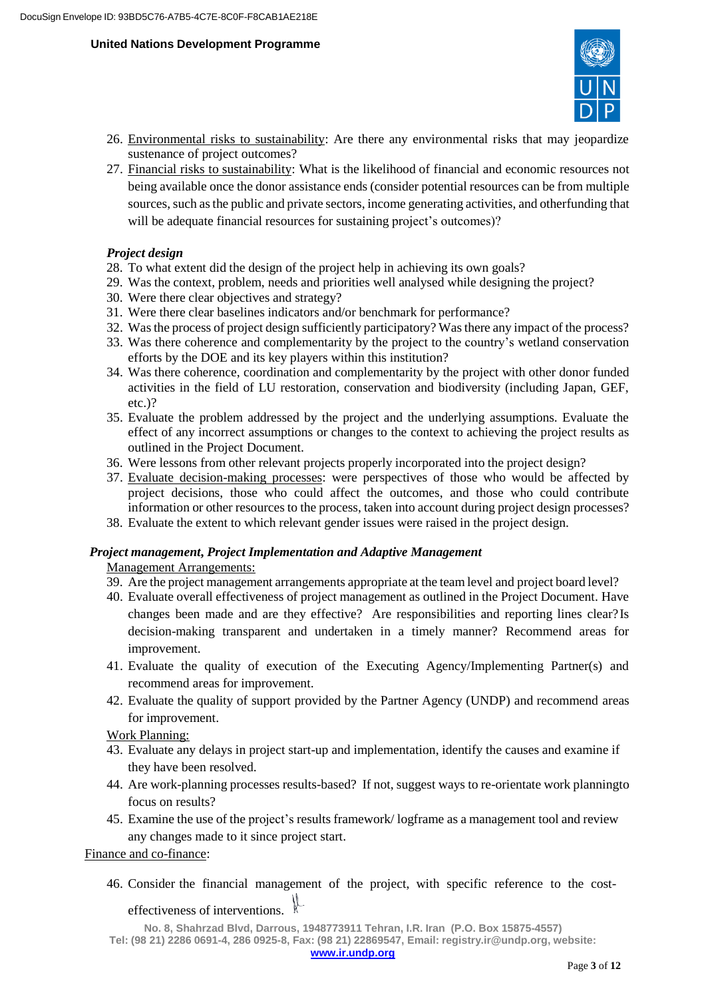

- 26. Environmental risks to sustainability: Are there any environmental risks that may jeopardize sustenance of project outcomes?
- 27. Financial risks to sustainability: What is the likelihood of financial and economic resources not being available once the donor assistance ends (consider potential resources can be from multiple sources, such as the public and private sectors, income generating activities, and otherfunding that will be adequate financial resources for sustaining project's outcomes)?

#### *Project design*

- 28. To what extent did the design of the project help in achieving its own goals?
- 29. Was the context, problem, needs and priorities well analysed while designing the project?
- 30. Were there clear objectives and strategy?
- 31. Were there clear baselines indicators and/or benchmark for performance?
- 32. Was the process of project design sufficiently participatory? Was there any impact of the process?
- 33. Was there coherence and complementarity by the project to the country's wetland conservation efforts by the DOE and its key players within this institution?
- 34. Was there coherence, coordination and complementarity by the project with other donor funded activities in the field of LU restoration, conservation and biodiversity (including Japan, GEF, etc.)?
- 35. Evaluate the problem addressed by the project and the underlying assumptions. Evaluate the effect of any incorrect assumptions or changes to the context to achieving the project results as outlined in the Project Document.
- 36. Were lessons from other relevant projects properly incorporated into the project design?
- 37. Evaluate decision-making processes: were perspectives of those who would be affected by project decisions, those who could affect the outcomes, and those who could contribute information or other resources to the process, taken into account during project design processes?
- 38. Evaluate the extent to which relevant gender issues were raised in the project design.

#### *Project management***,** *Project Implementation and Adaptive Management*

Management Arrangements:

- 39. Are the project management arrangements appropriate at the team level and project board level?
- 40. Evaluate overall effectiveness of project management as outlined in the Project Document. Have changes been made and are they effective? Are responsibilities and reporting lines clear?Is decision-making transparent and undertaken in a timely manner? Recommend areas for improvement.
- 41. Evaluate the quality of execution of the Executing Agency/Implementing Partner(s) and recommend areas for improvement.
- 42. Evaluate the quality of support provided by the Partner Agency (UNDP) and recommend areas for improvement.

Work Planning:

- 43. Evaluate any delays in project start-up and implementation, identify the causes and examine if they have been resolved.
- 44. Are work-planning processes results-based? If not, suggest ways to re-orientate work planningto focus on results?
- 45. Examine the use of the project's results framework/ logframe as a management tool and review any changes made to it since project start.

Finance and co-finance:

46. Consider the financial management of the project, with specific reference to the costeffectiveness of interventions.

**No. 8, Shahrzad Blvd, Darrous, 1948773911 Tehran, I.R. Iran (P.O. Box 15875-4557) Tel: (98 21) 2286 0691-4, 286 0925-8, Fax: (98 21) 22869547, Email: [registry.ir@undp.org,](mailto:registry.ir@undp.org) website: [www.ir.undp.org](http://www.ir.undp.org/)**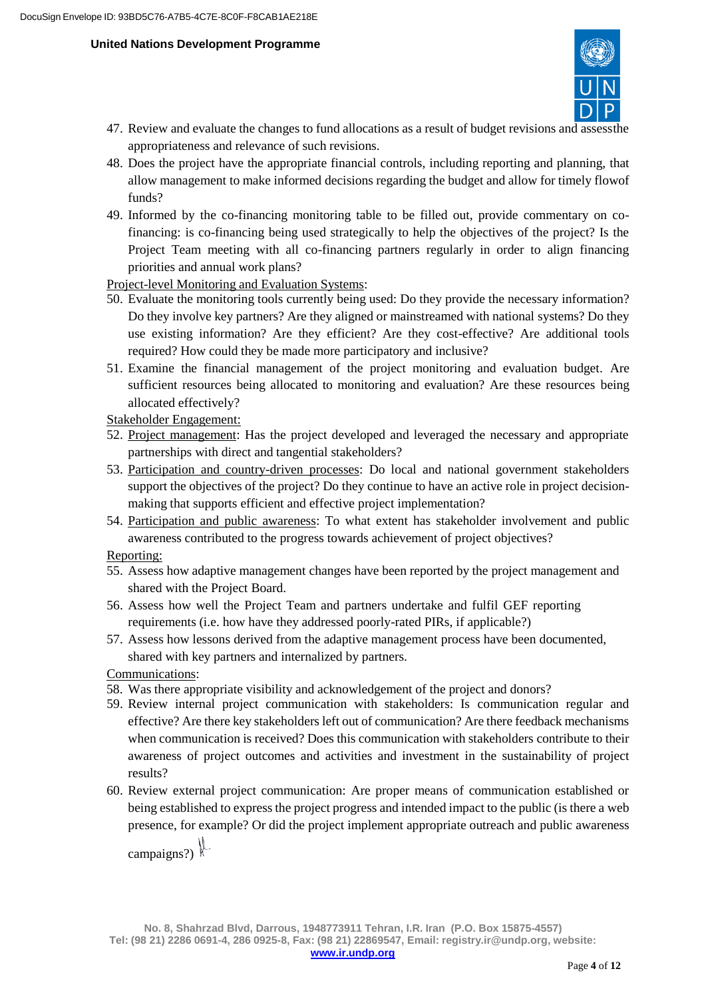

- 47. Review and evaluate the changes to fund allocations as a result of budget revisions and assessthe appropriateness and relevance of such revisions.
- 48. Does the project have the appropriate financial controls, including reporting and planning, that allow management to make informed decisions regarding the budget and allow for timely flowof funds?
- 49. Informed by the co-financing monitoring table to be filled out, provide commentary on cofinancing: is co-financing being used strategically to help the objectives of the project? Is the Project Team meeting with all co-financing partners regularly in order to align financing priorities and annual work plans?

Project-level Monitoring and Evaluation Systems:

- 50. Evaluate the monitoring tools currently being used: Do they provide the necessary information? Do they involve key partners? Are they aligned or mainstreamed with national systems? Do they use existing information? Are they efficient? Are they cost-effective? Are additional tools required? How could they be made more participatory and inclusive?
- 51. Examine the financial management of the project monitoring and evaluation budget. Are sufficient resources being allocated to monitoring and evaluation? Are these resources being allocated effectively?

Stakeholder Engagement:

- 52. Project management: Has the project developed and leveraged the necessary and appropriate partnerships with direct and tangential stakeholders?
- 53. Participation and country-driven processes: Do local and national government stakeholders support the objectives of the project? Do they continue to have an active role in project decisionmaking that supports efficient and effective project implementation?
- 54. Participation and public awareness: To what extent has stakeholder involvement and public awareness contributed to the progress towards achievement of project objectives?

Reporting:

- 55. Assess how adaptive management changes have been reported by the project management and shared with the Project Board.
- 56. Assess how well the Project Team and partners undertake and fulfil GEF reporting requirements (i.e. how have they addressed poorly-rated PIRs, if applicable?)
- 57. Assess how lessons derived from the adaptive management process have been documented, shared with key partners and internalized by partners.

Communications:

- 58. Was there appropriate visibility and acknowledgement of the project and donors?
- 59. Review internal project communication with stakeholders: Is communication regular and effective? Are there key stakeholders left out of communication? Are there feedback mechanisms when communication is received? Does this communication with stakeholders contribute to their awareness of project outcomes and activities and investment in the sustainability of project results?
- 60. Review external project communication: Are proper means of communication established or being established to express the project progress and intended impact to the public (is there a web presence, for example? Or did the project implement appropriate outreach and public awareness

campaigns?)  $\mathbb{R}$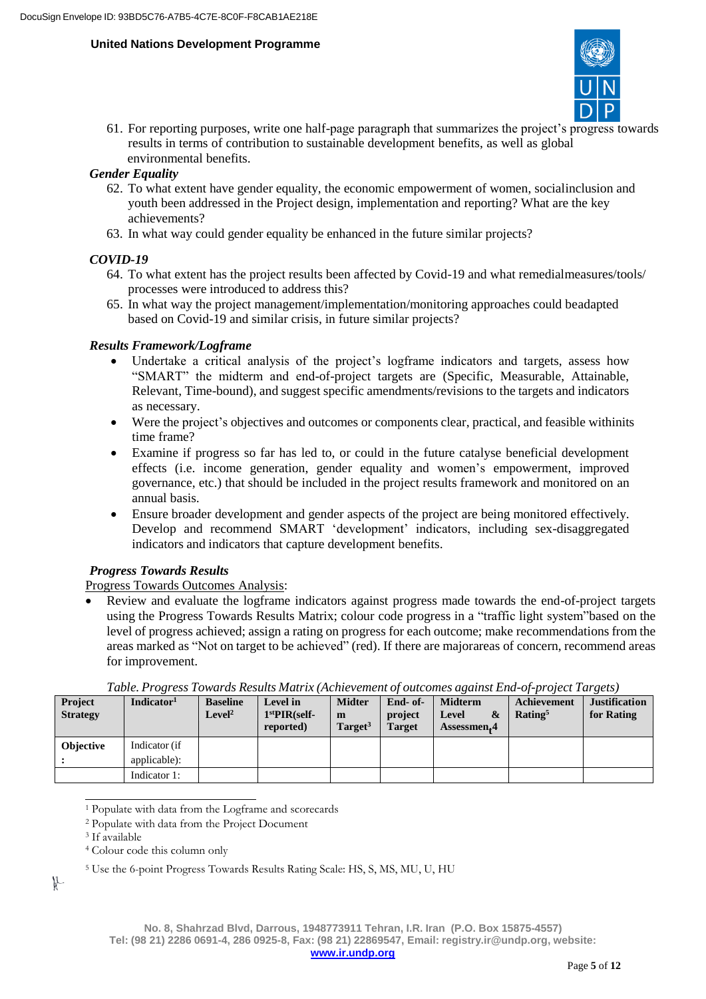

61. For reporting purposes, write one half-page paragraph that summarizes the project's progress towards results in terms of contribution to sustainable development benefits, as well as global environmental benefits.

## *Gender Equality*

- 62. To what extent have gender equality, the economic empowerment of women, socialinclusion and youth been addressed in the Project design, implementation and reporting? What are the key achievements?
- 63. In what way could gender equality be enhanced in the future similar projects?

# *COVID-19*

- 64. To what extent has the project results been affected by Covid-19 and what remedialmeasures/tools/ processes were introduced to address this?
- 65. In what way the project management/implementation/monitoring approaches could beadapted based on Covid-19 and similar crisis, in future similar projects?

# *Results Framework/Logframe*

- Undertake a critical analysis of the project's logframe indicators and targets, assess how "SMART" the midterm and end-of-project targets are (Specific, Measurable, Attainable, Relevant, Time-bound), and suggest specific amendments/revisions to the targets and indicators as necessary.
- Were the project's objectives and outcomes or components clear, practical, and feasible withinits time frame?
- Examine if progress so far has led to, or could in the future catalyse beneficial development effects (i.e. income generation, gender equality and women's empowerment, improved governance, etc.) that should be included in the project results framework and monitored on an annual basis.
- Ensure broader development and gender aspects of the project are being monitored effectively. Develop and recommend SMART 'development' indicators, including sex-disaggregated indicators and indicators that capture development benefits.

# *Progress Towards Results*

Progress Towards Outcomes Analysis:

 Review and evaluate the logframe indicators against progress made towards the end-of-project targets using the Progress Towards Results Matrix; colour code progress in a "traffic light system"based on the level of progress achieved; assign a rating on progress for each outcome; make recommendations from the areas marked as "Not on target to be achieved" (red). If there are majorareas of concern, recommend areas for improvement.

| <b>Project</b><br><b>Strategy</b> | Indicator <sup>1</sup>        | <b>Baseline</b><br>Level <sup>2</sup> | Level in<br>$1stPIR(self-$<br>reported) | <b>Midter</b><br>m<br>Target <sup>3</sup> | End- of-<br>project<br><b>Target</b> | <b>Midterm</b><br>Level<br>$\mathbf{\alpha}$<br>Assessmen.4 | Achievement<br>Rating <sup>5</sup> | <b>Justification</b><br>for Rating |
|-----------------------------------|-------------------------------|---------------------------------------|-----------------------------------------|-------------------------------------------|--------------------------------------|-------------------------------------------------------------|------------------------------------|------------------------------------|
| <b>Objective</b>                  | Indicator (if<br>applicable): |                                       |                                         |                                           |                                      |                                                             |                                    |                                    |
|                                   | Indicator 1:                  |                                       |                                         |                                           |                                      |                                                             |                                    |                                    |

*Table. Progress Towards Results Matrix (Achievement of outcomes against End-of-project Targets)*

 $\mathbb{R}$ 

<sup>1</sup> Populate with data from the Logframe and scorecards

<sup>2</sup> Populate with data from the Project Document

<sup>3</sup> If available

<sup>4</sup> Colour code this column only

<sup>5</sup> Use the 6-point Progress Towards Results Rating Scale: HS, S, MS, MU, U, HU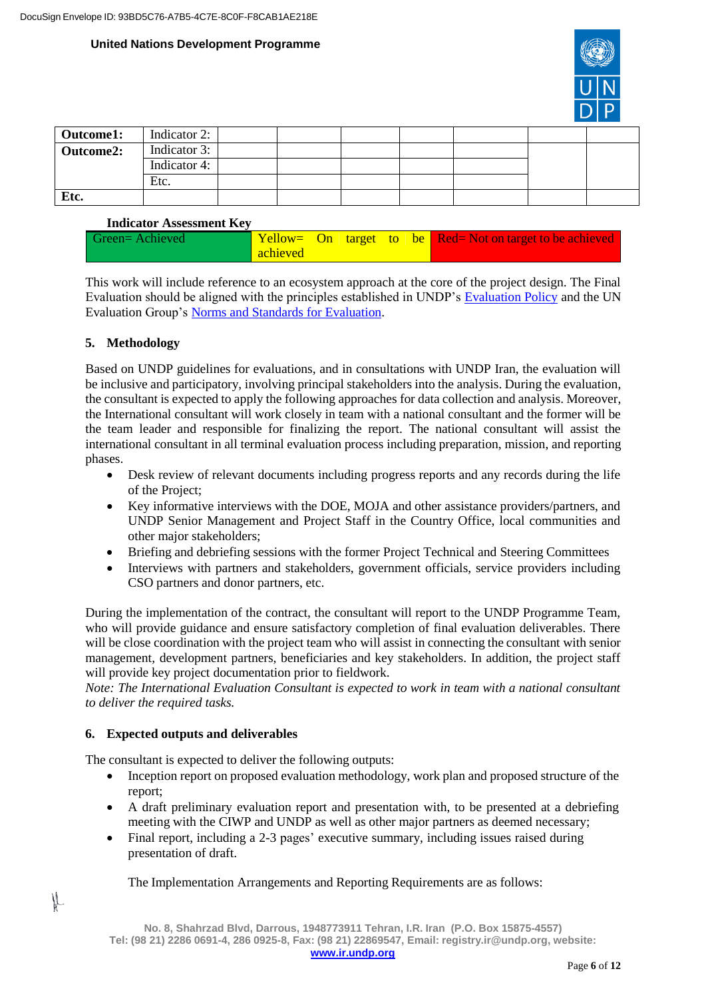

| Outcome1: | Indicator 2: |  |  |  |  |
|-----------|--------------|--|--|--|--|
| Outcome2: | Indicator 3: |  |  |  |  |
|           | Indicator 4: |  |  |  |  |
|           | Etc.         |  |  |  |  |
| Etc.      |              |  |  |  |  |

#### **Indicator Assessment Key**

| Green=Achieved |          |  |  | $\sqrt{\text{Yellow}}$ On target to be Red=Not on target to be achieved |
|----------------|----------|--|--|-------------------------------------------------------------------------|
|                | achieved |  |  |                                                                         |

This work will include reference to an ecosystem approach at the core of the project design. The Final Evaluation should be aligned with the principles established in UNDP's Evaluation Policy and the UN Evaluation Group's [Norms and Standards](http://www.unevaluation.org/document/detail/1914) for Evaluation.

## **5. Methodology**

Based on UNDP guidelines for evaluations, and in consultations with UNDP Iran, the evaluation will be inclusive and participatory, involving principal stakeholders into the analysis. During the evaluation, the consultant is expected to apply the following approaches for data collection and analysis. Moreover, the International consultant will work closely in team with a national consultant and the former will be the team leader and responsible for finalizing the report. The national consultant will assist the international consultant in all terminal evaluation process including preparation, mission, and reporting phases.

- Desk review of relevant documents including progress reports and any records during the life of the Project;
- Key informative interviews with the DOE, MOJA and other assistance providers/partners, and UNDP Senior Management and Project Staff in the Country Office, local communities and other major stakeholders;
- Briefing and debriefing sessions with the former Project Technical and Steering Committees
- Interviews with partners and stakeholders, government officials, service providers including CSO partners and donor partners, etc.

During the implementation of the contract, the consultant will report to the UNDP Programme Team, who will provide guidance and ensure satisfactory completion of final evaluation deliverables. There will be close coordination with the project team who will assist in connecting the consultant with senior management, development partners, beneficiaries and key stakeholders. In addition, the project staff will provide key project documentation prior to fieldwork.

*Note: The International Evaluation Consultant is expected to work in team with a national consultant to deliver the required tasks.*

## **6. Expected outputs and deliverables**

IL

The consultant is expected to deliver the following outputs:

- Inception report on proposed evaluation methodology, work plan and proposed structure of the report;
- A draft preliminary evaluation report and presentation with, to be presented at a debriefing meeting with the CIWP and UNDP as well as other major partners as deemed necessary;
- Final report, including a 2-3 pages' executive summary, including issues raised during presentation of draft.

## The Implementation Arrangements and Reporting Requirements are as follows: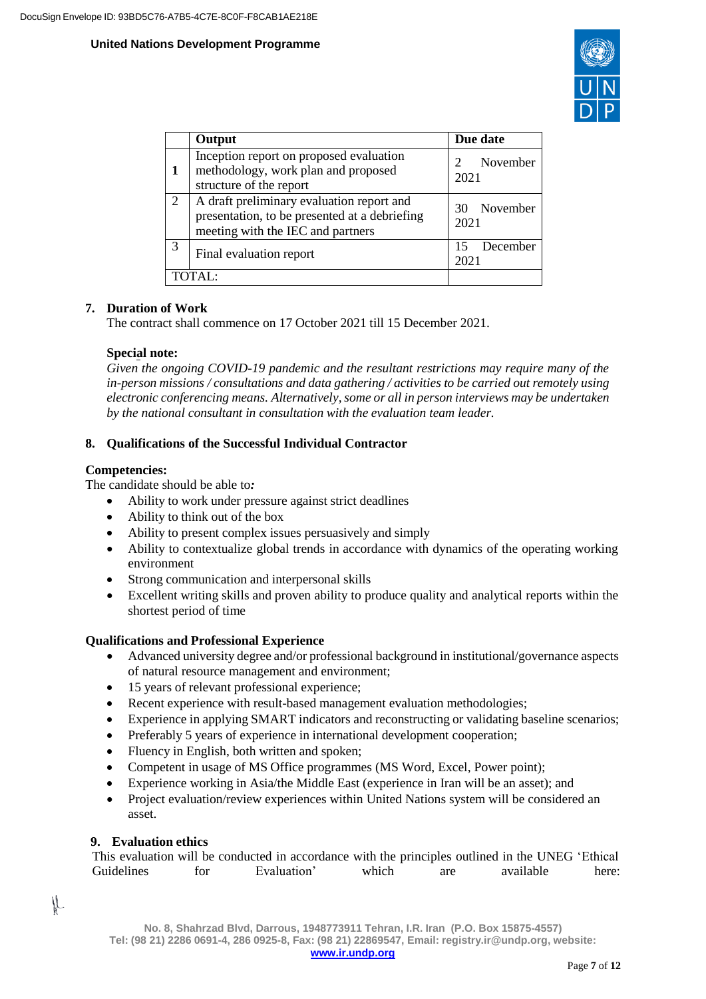

|   | Output                                                                                                                          | Due date            |
|---|---------------------------------------------------------------------------------------------------------------------------------|---------------------|
|   | Inception report on proposed evaluation<br>methodology, work plan and proposed<br>structure of the report                       | November<br>2021    |
| 2 | A draft preliminary evaluation report and<br>presentation, to be presented at a debriefing<br>meeting with the IEC and partners | 30 November<br>2021 |
| 3 | Final evaluation report                                                                                                         | December<br>2021    |
|   | TOTAI:                                                                                                                          |                     |

# **7. Duration of Work**

The contract shall commence on 17 October 2021 till 15 December 2021.

#### **Special note:**

*Given the ongoing COVID-19 pandemic and the resultant restrictions may require many of the in-person missions / consultations and data gathering / activities to be carried out remotely using electronic conferencing means. Alternatively,some or all in person interviews may be undertaken by the national consultant in consultation with the evaluation team leader.*

## **8. Qualifications of the Successful Individual Contractor**

## **Competencies:**

The candidate should be able to*:*

- Ability to work under pressure against strict deadlines
- Ability to think out of the box
- Ability to present complex issues persuasively and simply
- Ability to contextualize global trends in accordance with dynamics of the operating working environment
- Strong communication and interpersonal skills
- Excellent writing skills and proven ability to produce quality and analytical reports within the shortest period of time

## **Qualifications and Professional Experience**

- Advanced university degree and/or professional background in institutional/governance aspects of natural resource management and environment;
- 15 years of relevant professional experience;
- Recent experience with result-based management evaluation methodologies;
- Experience in applying SMART indicators and reconstructing or validating baseline scenarios;
- Preferably 5 years of experience in international development cooperation;
- Fluency in English, both written and spoken;
- Competent in usage of MS Office programmes (MS Word, Excel, Power point);
- Experience working in Asia/the Middle East (experience in Iran will be an asset); and
- Project evaluation/review experiences within United Nations system will be considered an asset.

## **9. Evaluation ethics**

IL

This evaluation will be conducted in accordance with the principles outlined in the UNEG 'Ethical Guidelines for Evaluation' which are available here: Guidelines for Evaluation' which are available here: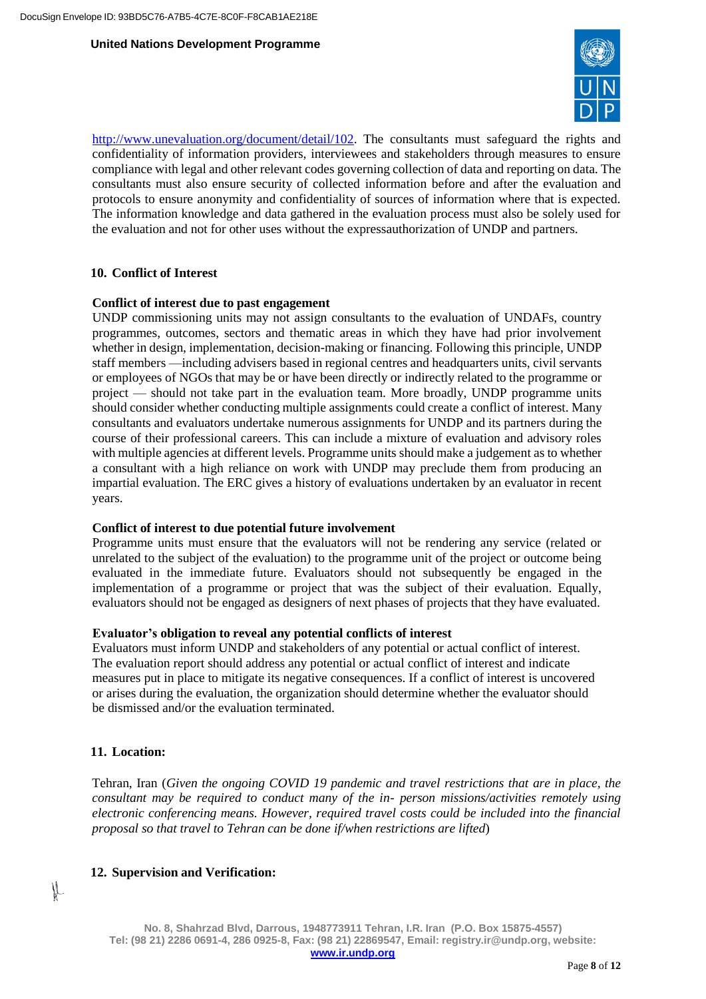

[http://www.unevaluation.org/document/detail/102.](http://www.unevaluation.org/document/detail/102) The consultants must safeguard the rights and confidentiality of information providers, interviewees and stakeholders through measures to ensure compliance with legal and other relevant codes governing collection of data and reporting on data. The consultants must also ensure security of collected information before and after the evaluation and protocols to ensure anonymity and confidentiality of sources of information where that is expected. The information knowledge and data gathered in the evaluation process must also be solely used for the evaluation and not for other uses without the expressauthorization of UNDP and partners.

#### **10. Conflict of Interest**

#### **Conflict of interest due to past engagement**

UNDP commissioning units may not assign consultants to the evaluation of UNDAFs, country programmes, outcomes, sectors and thematic areas in which they have had prior involvement whether in design, implementation, decision-making or financing. Following this principle, UNDP staff members —including advisers based in regional centres and headquarters units, civil servants or employees of NGOs that may be or have been directly or indirectly related to the programme or project — should not take part in the evaluation team. More broadly, UNDP programme units should consider whether conducting multiple assignments could create a conflict of interest. Many consultants and evaluators undertake numerous assignments for UNDP and its partners during the course of their professional careers. This can include a mixture of evaluation and advisory roles with multiple agencies at different levels. Programme units should make a judgement as to whether a consultant with a high reliance on work with UNDP may preclude them from producing an impartial evaluation. The ERC gives a history of evaluations undertaken by an evaluator in recent years.

## **Conflict of interest to due potential future involvement**

Programme units must ensure that the evaluators will not be rendering any service (related or unrelated to the subject of the evaluation) to the programme unit of the project or outcome being evaluated in the immediate future. Evaluators should not subsequently be engaged in the implementation of a programme or project that was the subject of their evaluation. Equally, evaluators should not be engaged as designers of next phases of projects that they have evaluated.

#### **Evaluator's obligation to reveal any potential conflicts of interest**

Evaluators must inform UNDP and stakeholders of any potential or actual conflict of interest. The evaluation report should address any potential or actual conflict of interest and indicate measures put in place to mitigate its negative consequences. If a conflict of interest is uncovered or arises during the evaluation, the organization should determine whether the evaluator should be dismissed and/or the evaluation terminated.

## **11. Location:**

 $\mu$ 

Tehran, Iran (*Given the ongoing COVID 19 pandemic and travel restrictions that are in place, the consultant may be required to conduct many of the in- person missions/activities remotely using electronic conferencing means. However, required travel costs could be included into the financial proposal so that travel to Tehran can be done if/when restrictions are lifted*)

## **12. Supervision and Verification:**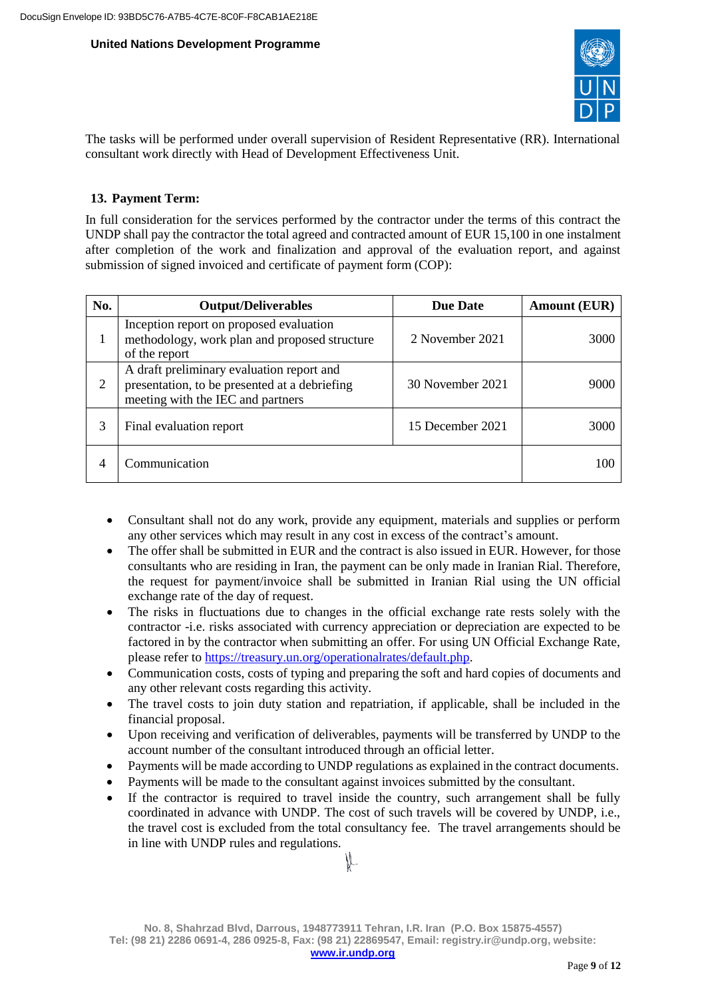

The tasks will be performed under overall supervision of Resident Representative (RR). International consultant work directly with Head of Development Effectiveness Unit.

# **13. Payment Term:**

In full consideration for the services performed by the contractor under the terms of this contract the UNDP shall pay the contractor the total agreed and contracted amount of EUR 15,100 in one instalment after completion of the work and finalization and approval of the evaluation report, and against submission of signed invoiced and certificate of payment form (COP):

| No. | <b>Output/Deliverables</b>                                                                                                      | <b>Due Date</b>  | <b>Amount (EUR)</b> |
|-----|---------------------------------------------------------------------------------------------------------------------------------|------------------|---------------------|
|     | Inception report on proposed evaluation<br>methodology, work plan and proposed structure<br>of the report                       | 2 November 2021  | 3000                |
| 2   | A draft preliminary evaluation report and<br>presentation, to be presented at a debriefing<br>meeting with the IEC and partners | 30 November 2021 | 9000                |
| 3   | Final evaluation report                                                                                                         | 15 December 2021 | 3000                |
|     | Communication                                                                                                                   |                  | 100                 |

- Consultant shall not do any work, provide any equipment, materials and supplies or perform any other services which may result in any cost in excess of the contract's amount.
- The offer shall be submitted in EUR and the contract is also issued in EUR. However, for those consultants who are residing in Iran, the payment can be only made in Iranian Rial. Therefore, the request for payment/invoice shall be submitted in Iranian Rial using the UN official exchange rate of the day of request.
- The risks in fluctuations due to changes in the official exchange rate rests solely with the contractor -i.e. risks associated with currency appreciation or depreciation are expected to be factored in by the contractor when submitting an offer. For using UN Official Exchange Rate, please refer to [https://treasury.un.org/operationalrates/default.php.](https://treasury.un.org/operationalrates/default.php)
- Communication costs, costs of typing and preparing the soft and hard copies of documents and any other relevant costs regarding this activity.
- The travel costs to join duty station and repatriation, if applicable, shall be included in the financial proposal.
- Upon receiving and verification of deliverables, payments will be transferred by UNDP to the account number of the consultant introduced through an official letter.
- Payments will be made according to UNDP regulations as explained in the contract documents.
- Payments will be made to the consultant against invoices submitted by the consultant.
- If the contractor is required to travel inside the country, such arrangement shall be fully coordinated in advance with UNDP. The cost of such travels will be covered by UNDP, i.e., the travel cost is excluded from the total consultancy fee. The travel arrangements should be in line with UNDP rules and regulations.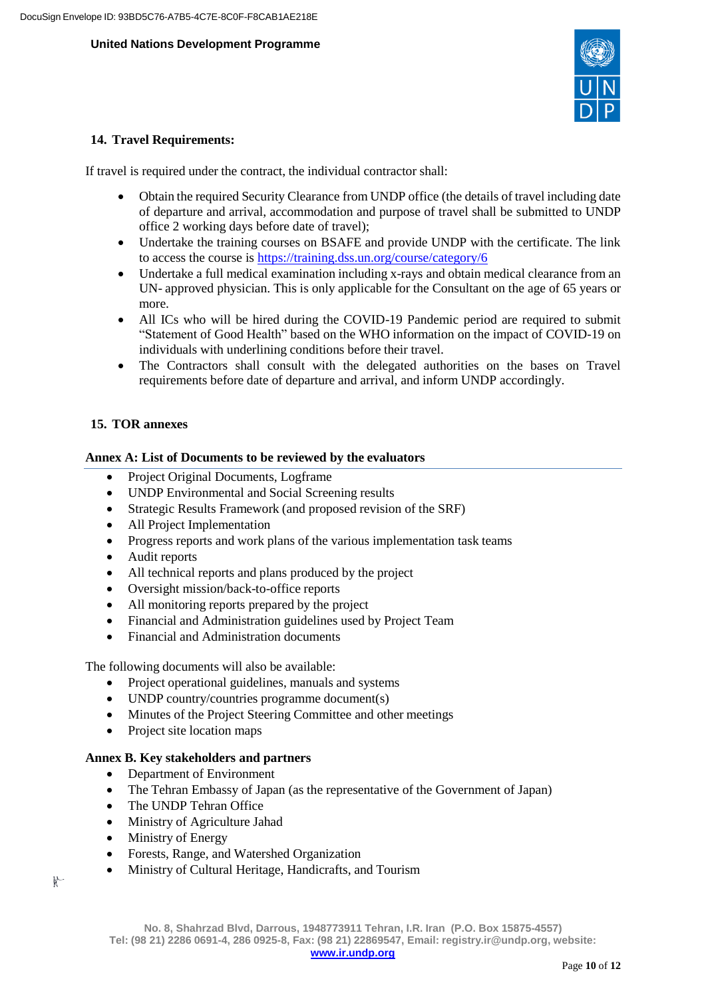

## **14. Travel Requirements:**

If travel is required under the contract, the individual contractor shall:

- Obtain the required Security Clearance from UNDP office (the details of travel including date of departure and arrival, accommodation and purpose of travel shall be submitted to UNDP office 2 working days before date of travel);
- Undertake the training courses on BSAFE and provide UNDP with the certificate. The link to access the course is <https://training.dss.un.org/course/category/6>
- Undertake a full medical examination including x-rays and obtain medical clearance from an UN- approved physician. This is only applicable for the Consultant on the age of 65 years or more.
- All ICs who will be hired during the COVID-19 Pandemic period are required to submit "Statement of Good Health" based on the WHO information on the impact of COVID-19 on individuals with underlining conditions before their travel.
- The Contractors shall consult with the delegated authorities on the bases on Travel requirements before date of departure and arrival, and inform UNDP accordingly.

# **15. TOR annexes**

## **Annex A: List of Documents to be reviewed by the evaluators**

- Project Original Documents, Logframe
- UNDP Environmental and Social Screening results
- Strategic Results Framework (and proposed revision of the SRF)
- All Project Implementation
- Progress reports and work plans of the various implementation task teams
- Audit reports
- All technical reports and plans produced by the project
- Oversight mission/back-to-office reports
- All monitoring reports prepared by the project
- Financial and Administration guidelines used by Project Team
- Financial and Administration documents

The following documents will also be available:

- Project operational guidelines, manuals and systems
- UNDP country/countries programme document(s)
- Minutes of the Project Steering Committee and other meetings
- Project site location maps

# **Annex B. Key stakeholders and partners**

- Department of Environment
- The Tehran Embassy of Japan (as the representative of the Government of Japan)
- The UNDP Tehran Office
- Ministry of Agriculture Jahad
- Ministry of Energy
- Forests, Range, and Watershed Organization
- Ministry of Cultural Heritage, Handicrafts, and Tourism